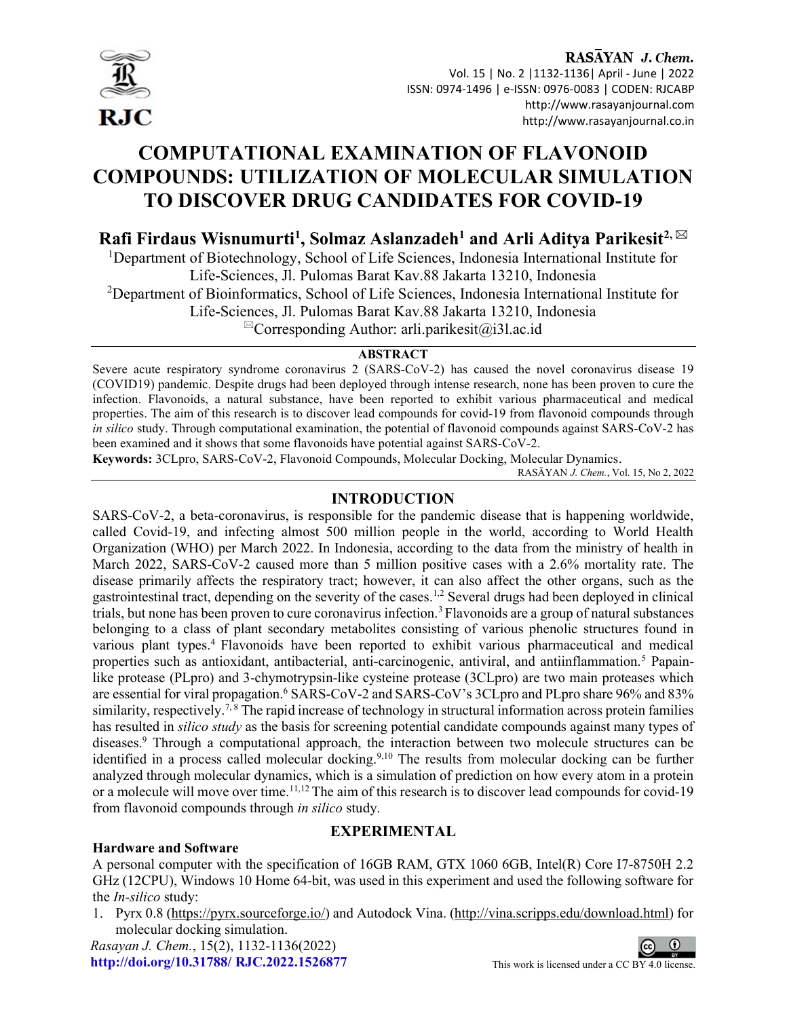

# COMPUTATIONAL EXAMINATION OF FLAVONOID COMPOUNDS: UTILIZATION OF MOLECULAR SIMULATION TO DISCOVER DRUG CANDIDATES FOR COVID-19

## Rafi Firdaus Wisnumurti<sup>1</sup>, Solmaz Aslanzadeh<sup>1</sup> and Arli Aditya Parikesit<sup>2, ⊠</sup>

<sup>1</sup>Department of Biotechnology, School of Life Sciences, Indonesia International Institute for Life-Sciences, Jl. Pulomas Barat Kav.88 Jakarta 13210, Indonesia

 $2$ Department of Bioinformatics, School of Life Sciences, Indonesia International Institute for

Life-Sciences, Jl. Pulomas Barat Kav.88 Jakarta 13210, Indonesia

 $^{\boxtimes}$ Corresponding Author: arli.parikesit@i3l.ac.id

## **ABSTRACT**

Severe acute respiratory syndrome coronavirus 2 (SARS-CoV-2) has caused the novel coronavirus disease 19 (COVID19) pandemic. Despite drugs had been deployed through intense research, none has been proven to cure the infection. Flavonoids, a natural substance, have been reported to exhibit various pharmaceutical and medical properties. The aim of this research is to discover lead compounds for covid-19 from flavonoid compounds through in silico study. Through computational examination, the potential of flavonoid compounds against SARS-CoV-2 has been examined and it shows that some flavonoids have potential against SARS-CoV-2.

Keywords: 3CLpro, SARS-CoV-2, Flavonoid Compounds, Molecular Docking, Molecular Dynamics.

RASĀYAN J. Chem., Vol. 15, No 2, 2022

## INTRODUCTION

SARS-CoV-2, a beta-coronavirus, is responsible for the pandemic disease that is happening worldwide, called Covid-19, and infecting almost 500 million people in the world, according to World Health Organization (WHO) per March 2022. In Indonesia, according to the data from the ministry of health in March 2022, SARS-CoV-2 caused more than 5 million positive cases with a 2.6% mortality rate. The disease primarily affects the respiratory tract; however, it can also affect the other organs, such as the gastrointestinal tract, depending on the severity of the cases.1,2 Several drugs had been deployed in clinical trials, but none has been proven to cure coronavirus infection.<sup>3</sup>Flavonoids are a group of natural substances belonging to a class of plant secondary metabolites consisting of various phenolic structures found in various plant types.<sup>4</sup> Flavonoids have been reported to exhibit various pharmaceutical and medical properties such as antioxidant, antibacterial, anti-carcinogenic, antiviral, and antiinflammation.<sup>5</sup> Papainlike protease (PLpro) and 3-chymotrypsin-like cysteine protease (3CLpro) are two main proteases which are essential for viral propagation.<sup>6</sup> SARS-CoV-2 and SARS-CoV's 3CLpro and PLpro share 96% and 83% similarity, respectively.<sup>7,8</sup> The rapid increase of technology in structural information across protein families has resulted in *silico study* as the basis for screening potential candidate compounds against many types of diseases.<sup>9</sup> Through a computational approach, the interaction between two molecule structures can be identified in a process called molecular docking.<sup>9,10</sup> The results from molecular docking can be further analyzed through molecular dynamics, which is a simulation of prediction on how every atom in a protein or a molecule will move over time.<sup>11,12</sup> The aim of this research is to discover lead compounds for covid-19 from flavonoid compounds through in silico study.

## EXPERIMENTAL

#### Hardware and Software

A personal computer with the specification of 16GB RAM, GTX 1060 6GB, Intel(R) Core I7-8750H 2.2 GHz (12CPU), Windows 10 Home 64-bit, was used in this experiment and used the following software for the In-silico study:

1. Pyrx 0.8 (https://pyrx.sourceforge.io/) and Autodock Vina. (http://vina.scripps.edu/download.html) for molecular docking simulation.

Rasayan J. Chem., 15(2), 1132-1136(2022) http://doi.org/10.31788/  $RJC.2022.1526877$  This work is licensed under a CC BY 4.0 license.

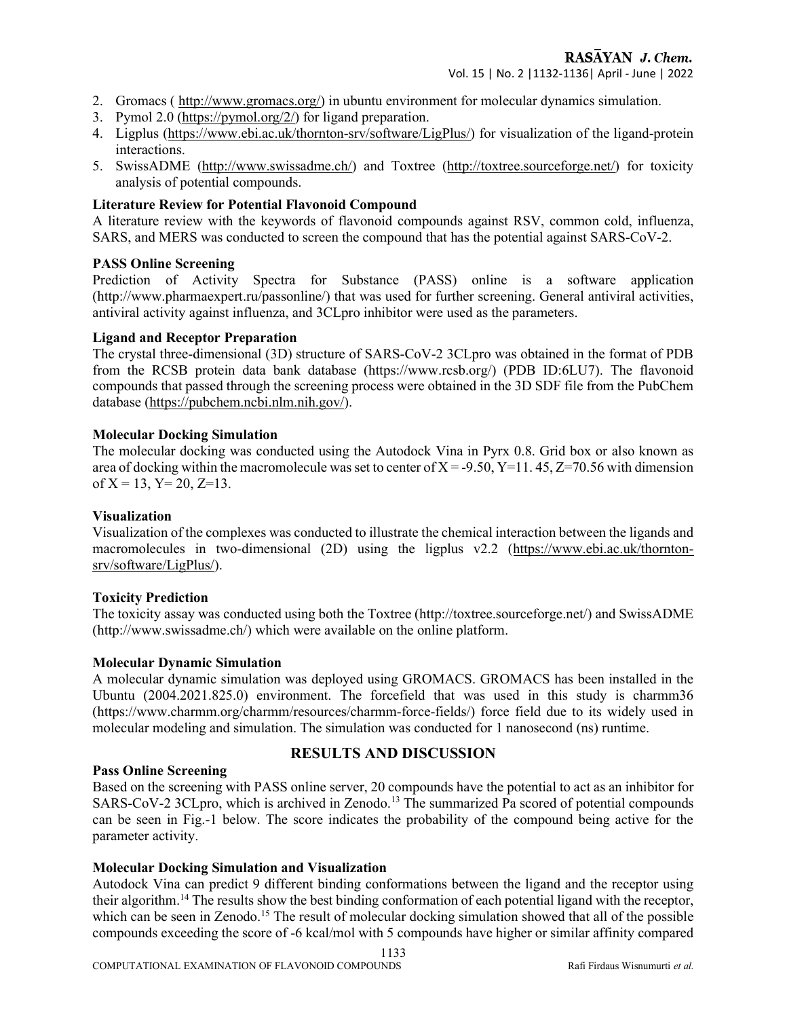- 2. Gromacs ( http://www.gromacs.org/) in ubuntu environment for molecular dynamics simulation.
- 3. Pymol 2.0 (https://pymol.org/2/) for ligand preparation.
- 4. Ligplus (https://www.ebi.ac.uk/thornton-srv/software/LigPlus/) for visualization of the ligand-protein interactions.
- 5. SwissADME (http://www.swissadme.ch/) and Toxtree (http://toxtree.sourceforge.net/) for toxicity analysis of potential compounds.

#### Literature Review for Potential Flavonoid Compound

A literature review with the keywords of flavonoid compounds against RSV, common cold, influenza, SARS, and MERS was conducted to screen the compound that has the potential against SARS-CoV-2.

#### PASS Online Screening

Prediction of Activity Spectra for Substance (PASS) online is a software application (http://www.pharmaexpert.ru/passonline/) that was used for further screening. General antiviral activities, antiviral activity against influenza, and 3CLpro inhibitor were used as the parameters.

#### Ligand and Receptor Preparation

The crystal three-dimensional (3D) structure of SARS-CoV-2 3CLpro was obtained in the format of PDB from the RCSB protein data bank database (https://www.rcsb.org/) (PDB ID:6LU7). The flavonoid compounds that passed through the screening process were obtained in the 3D SDF file from the PubChem database (https://pubchem.ncbi.nlm.nih.gov/).

#### Molecular Docking Simulation

The molecular docking was conducted using the Autodock Vina in Pyrx 0.8. Grid box or also known as area of docking within the macromolecule was set to center of  $X = -9.50$ ,  $Y=11.45$ ,  $Z=70.56$  with dimension of  $X = 13$ ,  $Y = 20$ ,  $Z = 13$ .

#### Visualization

Visualization of the complexes was conducted to illustrate the chemical interaction between the ligands and macromolecules in two-dimensional (2D) using the ligplus v2.2 (https://www.ebi.ac.uk/thorntonsrv/software/LigPlus/).

#### Toxicity Prediction

The toxicity assay was conducted using both the Toxtree (http://toxtree.sourceforge.net/) and SwissADME (http://www.swissadme.ch/) which were available on the online platform.

#### Molecular Dynamic Simulation

A molecular dynamic simulation was deployed using GROMACS. GROMACS has been installed in the Ubuntu (2004.2021.825.0) environment. The forcefield that was used in this study is charmm36 (https://www.charmm.org/charmm/resources/charmm-force-fields/) force field due to its widely used in molecular modeling and simulation. The simulation was conducted for 1 nanosecond (ns) runtime.

#### Pass Online Screening

## RESULTS AND DISCUSSION

Based on the screening with PASS online server, 20 compounds have the potential to act as an inhibitor for SARS-CoV-2 3CLpro, which is archived in Zenodo.<sup>13</sup> The summarized Pa scored of potential compounds can be seen in Fig.-1 below. The score indicates the probability of the compound being active for the parameter activity.

#### Molecular Docking Simulation and Visualization

Autodock Vina can predict 9 different binding conformations between the ligand and the receptor using their algorithm.<sup>14</sup> The results show the best binding conformation of each potential ligand with the receptor, which can be seen in Zenodo.<sup>15</sup> The result of molecular docking simulation showed that all of the possible compounds exceeding the score of -6 kcal/mol with 5 compounds have higher or similar affinity compared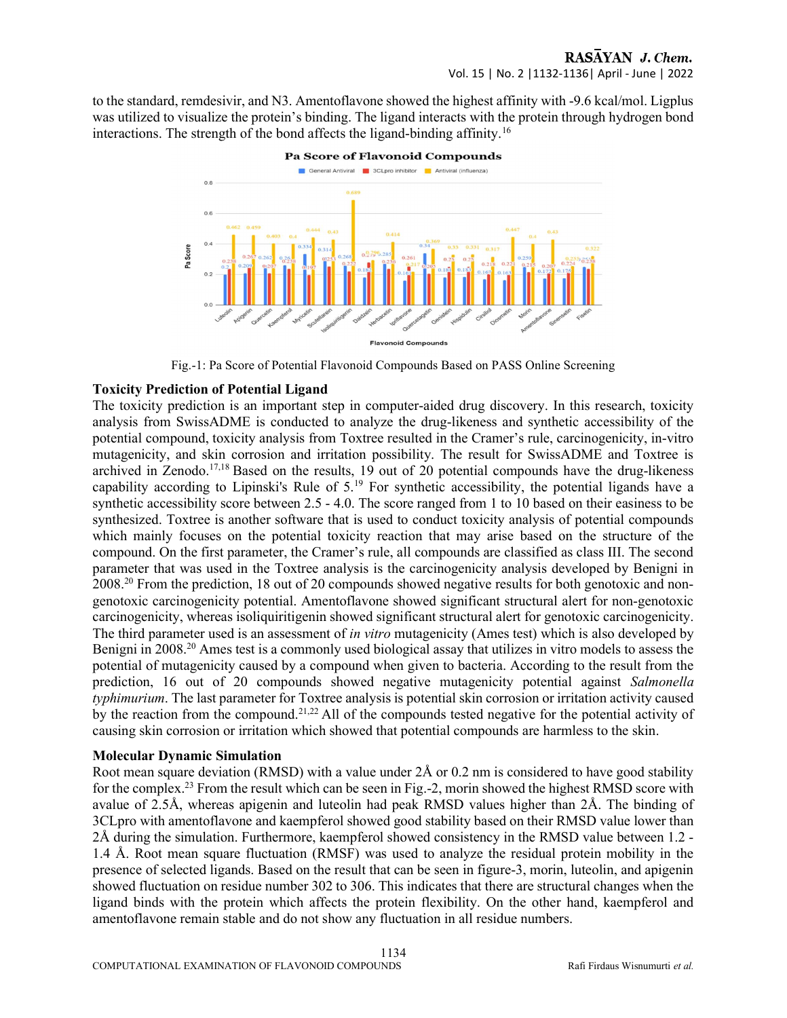to the standard, remdesivir, and N3. Amentoflavone showed the highest affinity with -9.6 kcal/mol. Ligplus was utilized to visualize the protein's binding. The ligand interacts with the protein through hydrogen bond interactions. The strength of the bond affects the ligand-binding affinity.<sup>16</sup>



Fig.-1: Pa Score of Potential Flavonoid Compounds Based on PASS Online Screening

## Toxicity Prediction of Potential Ligand

The toxicity prediction is an important step in computer-aided drug discovery. In this research, toxicity analysis from SwissADME is conducted to analyze the drug-likeness and synthetic accessibility of the potential compound, toxicity analysis from Toxtree resulted in the Cramer's rule, carcinogenicity, in-vitro mutagenicity, and skin corrosion and irritation possibility. The result for SwissADME and Toxtree is archived in Zenodo.17,18 Based on the results, 19 out of 20 potential compounds have the drug-likeness capability according to Lipinski's Rule of  $5^{19}$  For synthetic accessibility, the potential ligands have a synthetic accessibility score between 2.5 - 4.0. The score ranged from 1 to 10 based on their easiness to be synthesized. Toxtree is another software that is used to conduct toxicity analysis of potential compounds which mainly focuses on the potential toxicity reaction that may arise based on the structure of the compound. On the first parameter, the Cramer's rule, all compounds are classified as class III. The second parameter that was used in the Toxtree analysis is the carcinogenicity analysis developed by Benigni in 2008.20 From the prediction, 18 out of 20 compounds showed negative results for both genotoxic and nongenotoxic carcinogenicity potential. Amentoflavone showed significant structural alert for non-genotoxic carcinogenicity, whereas isoliquiritigenin showed significant structural alert for genotoxic carcinogenicity. The third parameter used is an assessment of *in vitro* mutagenicity (Ames test) which is also developed by Benigni in 2008.<sup>20</sup> Ames test is a commonly used biological assay that utilizes in vitro models to assess the potential of mutagenicity caused by a compound when given to bacteria. According to the result from the prediction, 16 out of 20 compounds showed negative mutagenicity potential against Salmonella typhimurium. The last parameter for Toxtree analysis is potential skin corrosion or irritation activity caused by the reaction from the compound.<sup>21,22</sup> All of the compounds tested negative for the potential activity of causing skin corrosion or irritation which showed that potential compounds are harmless to the skin.

#### Molecular Dynamic Simulation

Root mean square deviation (RMSD) with a value under 2Å or 0.2 nm is considered to have good stability for the complex.<sup>23</sup> From the result which can be seen in Fig.-2, morin showed the highest RMSD score with avalue of 2.5Å, whereas apigenin and luteolin had peak RMSD values higher than 2Å. The binding of 3CLpro with amentoflavone and kaempferol showed good stability based on their RMSD value lower than 2Å during the simulation. Furthermore, kaempferol showed consistency in the RMSD value between 1.2 - 1.4 Å. Root mean square fluctuation (RMSF) was used to analyze the residual protein mobility in the presence of selected ligands. Based on the result that can be seen in figure-3, morin, luteolin, and apigenin showed fluctuation on residue number 302 to 306. This indicates that there are structural changes when the ligand binds with the protein which affects the protein flexibility. On the other hand, kaempferol and amentoflavone remain stable and do not show any fluctuation in all residue numbers.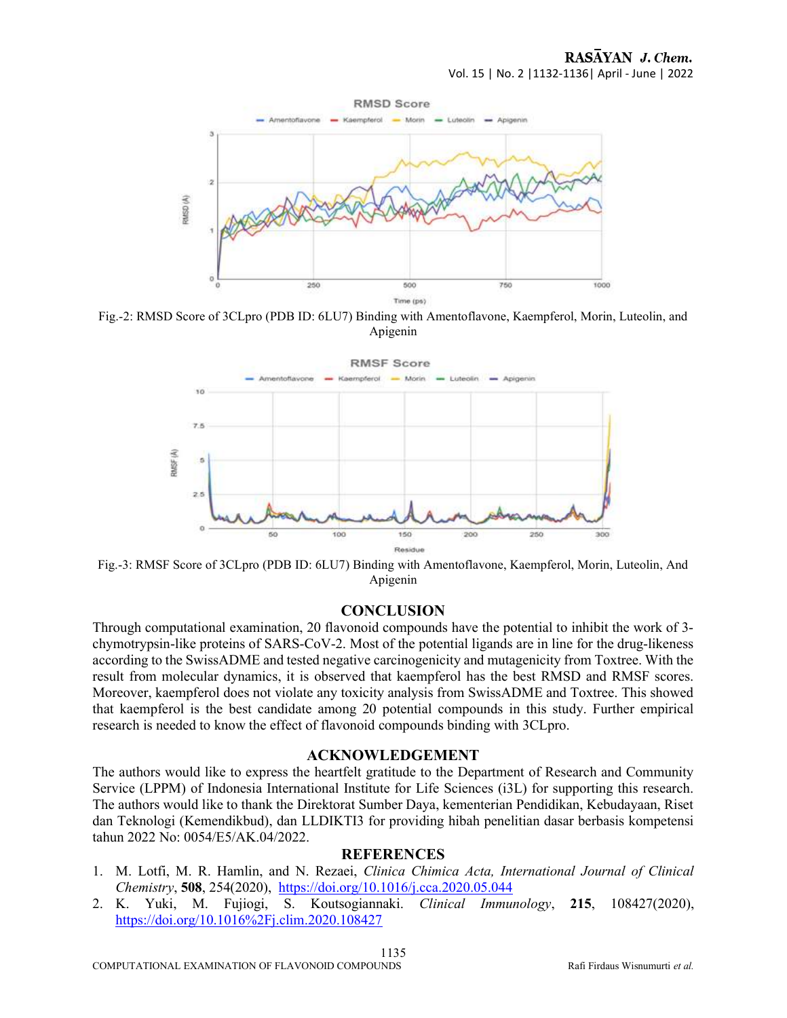

Fig.-2: RMSD Score of 3CLpro (PDB ID: 6LU7) Binding with Amentoflavone, Kaempferol, Morin, Luteolin, and Apigenin



Fig.-3: RMSF Score of 3CLpro (PDB ID: 6LU7) Binding with Amentoflavone, Kaempferol, Morin, Luteolin, And Apigenin

#### **CONCLUSION**

Through computational examination, 20 flavonoid compounds have the potential to inhibit the work of 3 chymotrypsin-like proteins of SARS-CoV-2. Most of the potential ligands are in line for the drug-likeness according to the SwissADME and tested negative carcinogenicity and mutagenicity from Toxtree. With the result from molecular dynamics, it is observed that kaempferol has the best RMSD and RMSF scores. Moreover, kaempferol does not violate any toxicity analysis from SwissADME and Toxtree. This showed that kaempferol is the best candidate among 20 potential compounds in this study. Further empirical research is needed to know the effect of flavonoid compounds binding with 3CLpro.

#### ACKNOWLEDGEMENT

The authors would like to express the heartfelt gratitude to the Department of Research and Community Service (LPPM) of Indonesia International Institute for Life Sciences (i3L) for supporting this research. The authors would like to thank the Direktorat Sumber Daya, kementerian Pendidikan, Kebudayaan, Riset dan Teknologi (Kemendikbud), dan LLDIKTI3 for providing hibah penelitian dasar berbasis kompetensi tahun 2022 No: 0054/E5/AK.04/2022.

#### **REFERENCES**

- 1. M. Lotfi, M. R. Hamlin, and N. Rezaei, Clinica Chimica Acta, International Journal of Clinical Chemistry, 508, 254(2020), https://doi.org/10.1016/j.cca.2020.05.044
- 2. K. Yuki, M. Fujiogi, S. Koutsogiannaki. Clinical Immunology, 215, 108427(2020), https://doi.org/10.1016%2Fj.clim.2020.108427